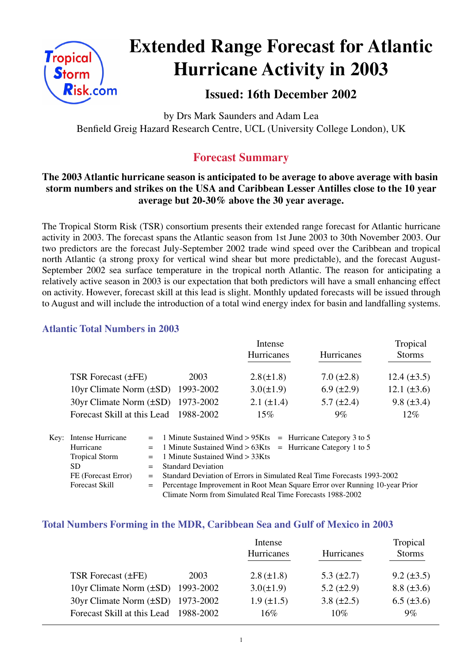

# **Extended Range Forecast for Atlantic Hurricane Activity in 2003**

# **Issued: 16th December 2002**

by Drs Mark Saunders and Adam Lea Benfield Greig Hazard Research Centre, UCL (University College London), UK

# **Forecast Summary**

# **The 2003 Atlantic hurricane season is anticipated to be average to above average with basin storm numbers and strikes on the USA and Caribbean Lesser Antilles close to the 10 year average but 20-30% above the 30 year average.**

The Tropical Storm Risk (TSR) consortium presents their extended range forecast for Atlantic hurricane activity in 2003. The forecast spans the Atlantic season from 1st June 2003 to 30th November 2003. Our two predictors are the forecast July-September 2002 trade wind speed over the Caribbean and tropical north Atlantic (a strong proxy for vertical wind shear but more predictable), and the forecast August-September 2002 sea surface temperature in the tropical north Atlantic. The reason for anticipating a relatively active season in 2003 is our expectation that both predictors will have a small enhancing effect on activity. However, forecast skill at this lead is slight. Monthly updated forecasts will be issued through to August and will include the introduction of a total wind energy index for basin and landfalling systems.

# **Atlantic Total Numbers in 2003**

|                                        |           | Intense<br>Hurricanes | Tropical<br><b>Storms</b> |                  |
|----------------------------------------|-----------|-----------------------|---------------------------|------------------|
|                                        |           |                       | Hurricanes                |                  |
| TSR Forecast (±FE)                     | 2003      | $2.8(\pm 1.8)$        | $7.0 (\pm 2.8)$           | $12.4 (\pm 3.5)$ |
| 10yr Climate Norm $(\pm SD)$ 1993-2002 |           | $3.0(\pm 1.9)$        | $6.9 \ (\pm 2.9)$         | $12.1 (\pm 3.6)$ |
| 30yr Climate Norm (±SD) 1973-2002      |           | $2.1 (\pm 1.4)$       | $5.7 \ (\pm 2.4)$         | $9.8 (\pm 3.4)$  |
| Forecast Skill at this Lead            | 1988-2002 | $15\%$                | $9\%$                     | $12\%$           |

| Key: Intense Hurricane | $=$ 1 Minute Sustained Wind > 95Kts $=$ Hurricane Category 3 to 5             |  |  |
|------------------------|-------------------------------------------------------------------------------|--|--|
| Hurricane              | $=$ 1 Minute Sustained Wind > 63Kts = Hurricane Category 1 to 5               |  |  |
| <b>Tropical Storm</b>  | $=$ 1 Minute Sustained Wind $>$ 33Kts                                         |  |  |
| SD.                    | $=$ Standard Deviation                                                        |  |  |
| FE (Forecast Error)    | Standard Deviation of Errors in Simulated Real Time Forecasts 1993-2002       |  |  |
| <b>Forecast Skill</b>  | = Percentage Improvement in Root Mean Square Error over Running 10-year Prior |  |  |
|                        | Climate Norm from Simulated Real Time Forecasts 1988-2002                     |  |  |

## **Total Numbers Forming in the MDR, Caribbean Sea and Gulf of Mexico in 2003**

|                                          |      | Intense           |                   | Tropical          |
|------------------------------------------|------|-------------------|-------------------|-------------------|
|                                          |      | Hurricanes        | Hurricanes        |                   |
|                                          |      |                   |                   |                   |
| TSR Forecast (±FE)                       | 2003 | $2.8 (\pm 1.8)$   | 5.3 $(\pm 2.7)$   | $9.2 \ (\pm 3.5)$ |
| 10yr Climate Norm $(\pm SD)$ 1993-2002   |      | $3.0(\pm 1.9)$    | $5.2 \ (\pm 2.9)$ | $8.8 (\pm 3.6)$   |
| $30yr$ Climate Norm $(\pm SD)$ 1973-2002 |      | $1.9 \ (\pm 1.5)$ | $3.8 (\pm 2.5)$   | $6.5 (\pm 3.6)$   |
| Forecast Skill at this Lead 1988-2002    |      | $16\%$            | $10\%$            | $9\%$             |
|                                          |      |                   |                   |                   |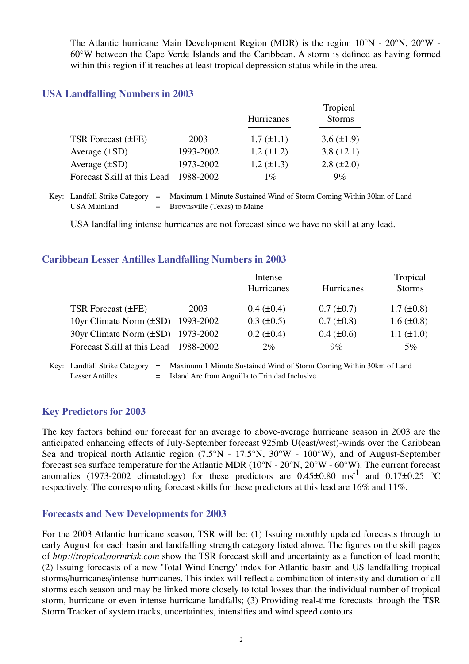The Atlantic hurricane Main Development Region (MDR) is the region 10°N - 20°N, 20°W - 60°W between the Cape Verde Islands and the Caribbean. A storm is defined as having formed within this region if it reaches at least tropical depression status while in the area.

#### **USA Landfalling Numbers in 2003**

|                             |           | <b>Hurricanes</b> | Tropical<br><b>Storms</b> |  |
|-----------------------------|-----------|-------------------|---------------------------|--|
| TSR Forecast (±FE)          | 2003      | $1.7 (\pm 1.1)$   | $3.6 (\pm 1.9)$           |  |
| Average $(\pm SD)$          | 1993-2002 | $1.2 (\pm 1.2)$   | 3.8 $(\pm 2.1)$           |  |
| Average $(\pm SD)$          | 1973-2002 | $1.2 (\pm 1.3)$   | $2.8 (\pm 2.0)$           |  |
| Forecast Skill at this Lead | 1988-2002 | $1\%$             | $9\%$                     |  |

Key: Landfall Strike Category = Maximum 1 Minute Sustained Wind of Storm Coming Within 30km of Land USA Mainland  $=$  Brownsville (Texas) to Maine

USA landfalling intense hurricanes are not forecast since we have no skill at any lead.

#### **Caribbean Lesser Antilles Landfalling Numbers in 2003**

|                                        |      | Intense<br><b>Hurricanes</b> | Hurricanes        | Tropical<br><b>Storms</b> |
|----------------------------------------|------|------------------------------|-------------------|---------------------------|
| <b>TSR Forecast (±FE)</b>              | 2003 | $0.4~(\pm 0.4)$              | $0.7 (\pm 0.7)$   | $1.7 \ (\pm 0.8)$         |
| 10yr Climate Norm $(\pm SD)$ 1993-2002 |      | $0.3 \ (\pm 0.5)$            | $0.7 (\pm 0.8)$   | $1.6 \ (\pm 0.8)$         |
| 30yr Climate Norm (±SD) 1973-2002      |      | $0.2 (\pm 0.4)$              | $0.4 \ (\pm 0.6)$ | $1.1 (\pm 1.0)$           |
| Forecast Skill at this Lead 1988-2002  |      | $2\%$                        | $9\%$             | $5\%$                     |
|                                        |      |                              |                   |                           |

Key: Landfall Strike Category = Maximum 1 Minute Sustained Wind of Storm Coming Within 30km of Land Lesser Antilles  $=$  Island Arc from Anguilla to Trinidad Inclusive

#### **Key Predictors for 2003**

The key factors behind our forecast for an average to above-average hurricane season in 2003 are the anticipated enhancing effects of July-September forecast 925mb U(east/west)-winds over the Caribbean Sea and tropical north Atlantic region (7.5°N - 17.5°N, 30°W - 100°W), and of August-September forecast sea surface temperature for the Atlantic MDR (10°N - 20°N, 20°W - 60°W). The current forecast anomalies (1973-2002 climatology) for these predictors are  $0.45\pm0.80$  ms<sup>-1</sup> and  $0.17\pm0.25$  °C respectively. The corresponding forecast skills for these predictors at this lead are 16% and 11%.

#### **Forecasts and New Developments for 2003**

For the 2003 Atlantic hurricane season, TSR will be: (1) Issuing monthly updated forecasts through to early August for each basin and landfalling strength category listed above. The figures on the skill pages of *http://tropicalstormrisk.com* show the TSR forecast skill and uncertainty as a function of lead month; (2) Issuing forecasts of a new 'Total Wind Energy' index for Atlantic basin and US landfalling tropical storms/hurricanes/intense hurricanes. This index will reflect a combination of intensity and duration of all storms each season and may be linked more closely to total losses than the individual number of tropical storm, hurricane or even intense hurricane landfalls; (3) Providing real-time forecasts through the TSR Storm Tracker of system tracks, uncertainties, intensities and wind speed contours.